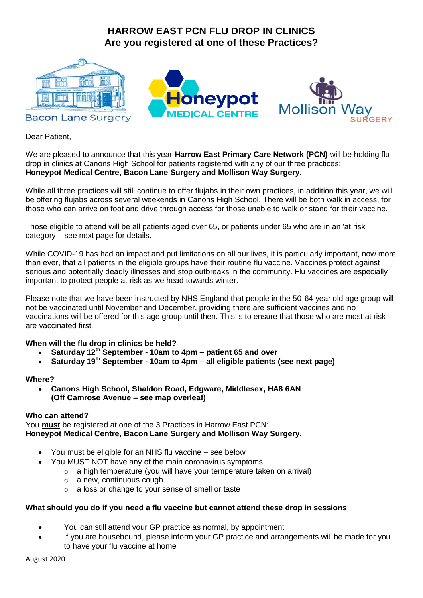# **HARROW EAST PCN FLU DROP IN CLINICS Are you registered at one of these Practices?**



Dear Patient,

We are pleased to announce that this year **Harrow East Primary Care Network (PCN)** will be holding flu drop in clinics at Canons High School for patients registered with any of our three practices: **Honeypot Medical Centre, Bacon Lane Surgery and Mollison Way Surgery.** 

While all three practices will still continue to offer fluiabs in their own practices, in addition this year, we will be offering flujabs across several weekends in Canons High School. There will be both walk in access, for those who can arrive on foot and drive through access for those unable to walk or stand for their vaccine.

Those eligible to attend will be all patients aged over 65, or patients under 65 who are in an 'at risk' category – see next page for details.

While COVID-19 has had an impact and put limitations on all our lives, it is particularly important, now more than ever, that all patients in the eligible groups have their routine flu vaccine. Vaccines protect against serious and potentially deadly illnesses and stop outbreaks in the community. Flu vaccines are especially important to protect people at risk as we head towards winter.

Please note that we have been instructed by NHS England that people in the 50-64 year old age group will not be vaccinated until November and December, providing there are sufficient vaccines and no vaccinations will be offered for this age group until then. This is to ensure that those who are most at risk are vaccinated first.

**When will the flu drop in clinics be held?**

- **Saturday 12th September - 10am to 4pm – patient 65 and over**
- **Saturday 19th September - 10am to 4pm – all eligible patients (see next page)**

#### **Where?**

 **Canons High School, Shaldon Road, Edgware, Middlesex, HA8 6AN (Off Camrose Avenue – see map overleaf)**

### **Who can attend?**

You **must** be registered at one of the 3 Practices in Harrow East PCN: **Honeypot Medical Centre, Bacon Lane Surgery and Mollison Way Surgery.** 

- You must be eligible for an NHS flu vaccine see below
	- You MUST NOT have any of the main coronavirus symptoms
		- $\circ$  a high temperature (you will have your temperature taken on arrival)
		- $\circ$  a new, continuous cough
		- o a loss or change to your sense of smell or taste

### **What should you do if you need a flu vaccine but cannot attend these drop in sessions**

- You can still attend your GP practice as normal, by appointment
- If you are housebound, please inform your GP practice and arrangements will be made for you to have your flu vaccine at home

August 2020